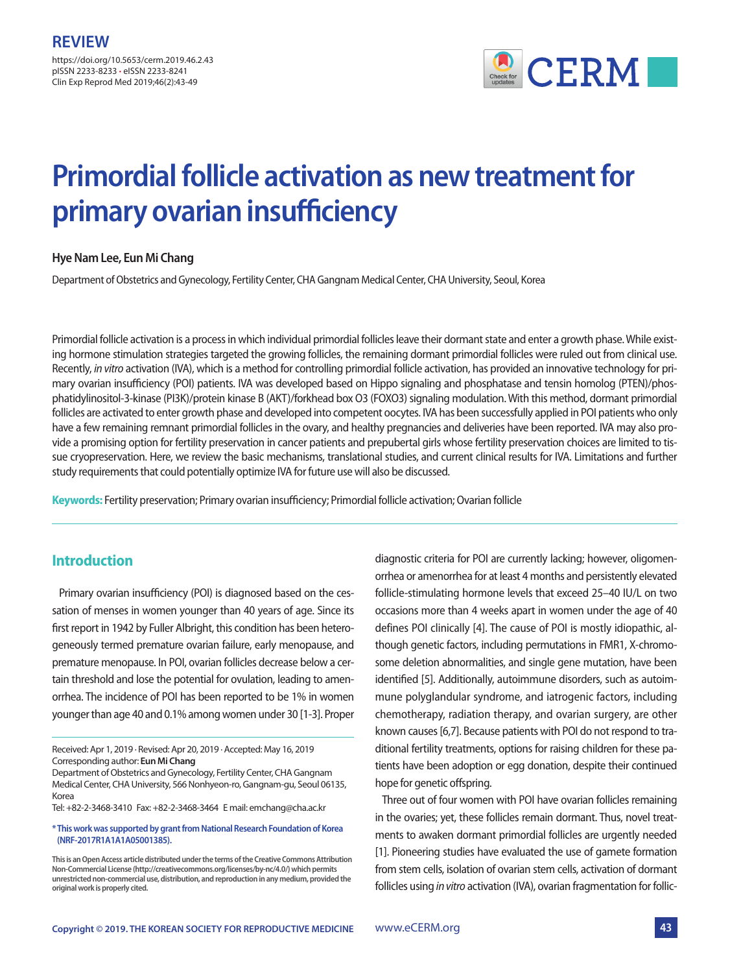https://doi.org/10.5653/cerm.2019.46.2.43 pISSN 2233-8233 **·** eISSN 2233-8241 Clin Exp Reprod Med 2019;46(2):43-49



# **Primordial follicle activation as new treatment for primary ovarian insufficiency**

### **Hye Nam Lee, Eun Mi Chang**

Department of Obstetrics and Gynecology, Fertility Center, CHA Gangnam Medical Center, CHA University, Seoul, Korea

Primordial follicle activation is a process in which individual primordial follicles leave their dormant state and enter a growth phase. While existing hormone stimulation strategies targeted the growing follicles, the remaining dormant primordial follicles were ruled out from clinical use. Recently, *in vitro* activation (IVA), which is a method for controlling primordial follicle activation, has provided an innovative technology for primary ovarian insufficiency (POI) patients. IVA was developed based on Hippo signaling and phosphatase and tensin homolog (PTEN)/phosphatidylinositol-3-kinase (PI3K)/protein kinase B (AKT)/forkhead box O3 (FOXO3) signaling modulation. With this method, dormant primordial follicles are activated to enter growth phase and developed into competent oocytes. IVA has been successfully applied in POI patients who only have a few remaining remnant primordial follicles in the ovary, and healthy pregnancies and deliveries have been reported. IVA may also provide a promising option for fertility preservation in cancer patients and prepubertal girls whose fertility preservation choices are limited to tissue cryopreservation. Here, we review the basic mechanisms, translational studies, and current clinical results for IVA. Limitations and further study requirements that could potentially optimize IVA for future use will also be discussed.

**Keywords:** Fertility preservation; Primary ovarian insufficiency; Primordial follicle activation; Ovarian follicle

## **Introduction**

Primary ovarian insufficiency (POI) is diagnosed based on the cessation of menses in women younger than 40 years of age. Since its first report in 1942 by Fuller Albright, this condition has been heterogeneously termed premature ovarian failure, early menopause, and premature menopause. In POI, ovarian follicles decrease below a certain threshold and lose the potential for ovulation, leading to amenorrhea. The incidence of POI has been reported to be 1% in women younger than age 40 and 0.1% among women under 30 [1-3]. Proper

Tel: +82-2-3468-3410 Fax: +82-2-3468-3464 E mail: emchang@cha.ac.kr

#### **\* This work was supported by grant from National Research Foundation of Korea (NRF-2017R1A1A1A05001385).**

diagnostic criteria for POI are currently lacking; however, oligomenorrhea or amenorrhea for at least 4 months and persistently elevated follicle-stimulating hormone levels that exceed 25–40 IU/L on two occasions more than 4 weeks apart in women under the age of 40 defines POI clinically [4]. The cause of POI is mostly idiopathic, although genetic factors, including permutations in FMR1, X-chromosome deletion abnormalities, and single gene mutation, have been identified [5]. Additionally, autoimmune disorders, such as autoimmune polyglandular syndrome, and iatrogenic factors, including chemotherapy, radiation therapy, and ovarian surgery, are other known causes [6,7]. Because patients with POI do not respond to traditional fertility treatments, options for raising children for these patients have been adoption or egg donation, despite their continued hope for genetic offspring.

Three out of four women with POI have ovarian follicles remaining in the ovaries; yet, these follicles remain dormant. Thus, novel treatments to awaken dormant primordial follicles are urgently needed [1]. Pioneering studies have evaluated the use of gamete formation from stem cells, isolation of ovarian stem cells, activation of dormant follicles using *in vitro* activation (IVA), ovarian fragmentation for follic-

Received: Apr 1, 2019 ∙ Revised: Apr 20, 2019 ∙ Accepted: May 16, 2019 Corresponding author: **Eun Mi Chang** 

Department of Obstetrics and Gynecology, Fertility Center, CHA Gangnam Medical Center, CHA University, 566 Nonhyeon-ro, Gangnam-gu, Seoul 06135, Korea

**This is an Open Access article distributed under the terms of the Creative Commons Attribution Non-Commercial License (http://creativecommons.org/licenses/by-nc/4.0/) which permits unrestricted non-commercial use, distribution, and reproduction in any medium, provided the original work is properly cited.**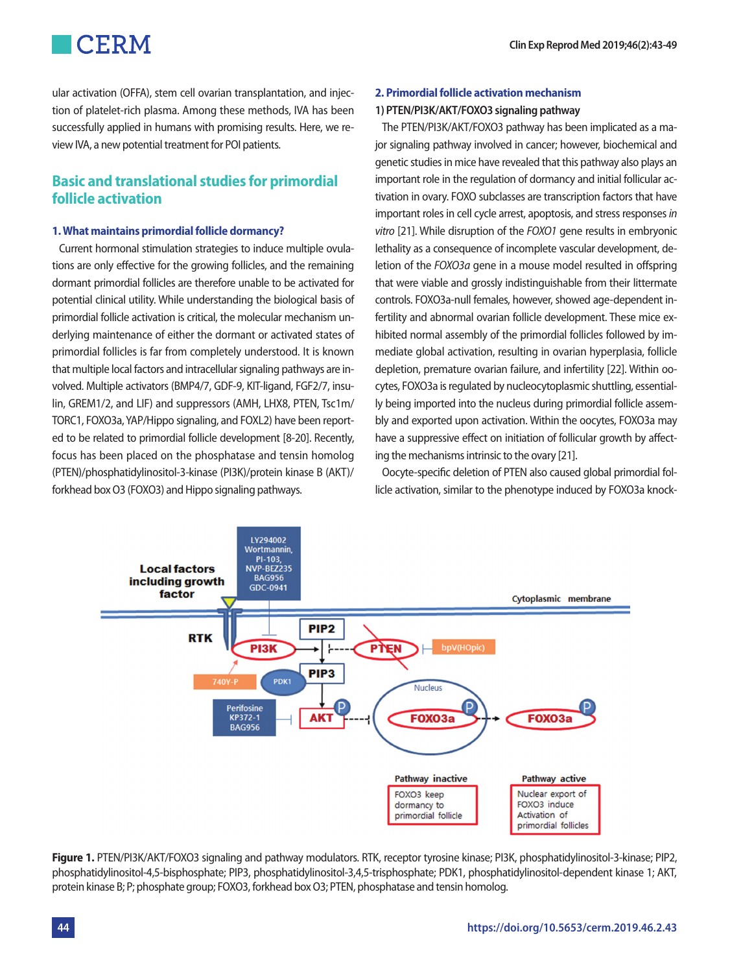ular activation (OFFA), stem cell ovarian transplantation, and injection of platelet-rich plasma. Among these methods, IVA has been successfully applied in humans with promising results. Here, we review IVA, a new potential treatment for POI patients.

## **Basic and translational studies for primordial follicle activation**

### **1. What maintains primordial follicle dormancy?**

Current hormonal stimulation strategies to induce multiple ovulations are only effective for the growing follicles, and the remaining dormant primordial follicles are therefore unable to be activated for potential clinical utility. While understanding the biological basis of primordial follicle activation is critical, the molecular mechanism underlying maintenance of either the dormant or activated states of primordial follicles is far from completely understood. It is known that multiple local factors and intracellular signaling pathways are involved. Multiple activators (BMP4/7, GDF-9, KIT-ligand, FGF2/7, insulin, GREM1/2, and LIF) and suppressors (AMH, LHX8, PTEN, Tsc1m/ TORC1, FOXO3a, YAP/Hippo signaling, and FOXL2) have been reported to be related to primordial follicle development [8-20]. Recently, focus has been placed on the phosphatase and tensin homolog (PTEN)/phosphatidylinositol-3-kinase (PI3K)/protein kinase B (AKT)/ forkhead box O3 (FOXO3) and Hippo signaling pathways.

### **2. Primordial follicle activation mechanism**

### **1) PTEN/PI3K/AKT/FOXO3 signaling pathway**

The PTEN/PI3K/AKT/FOXO3 pathway has been implicated as a major signaling pathway involved in cancer; however, biochemical and genetic studies in mice have revealed that this pathway also plays an important role in the regulation of dormancy and initial follicular activation in ovary. FOXO subclasses are transcription factors that have important roles in cell cycle arrest, apoptosis, and stress responses *in vitro* [21]. While disruption of the *FOXO1* gene results in embryonic lethality as a consequence of incomplete vascular development, deletion of the *FOXO3a* gene in a mouse model resulted in offspring that were viable and grossly indistinguishable from their littermate controls. FOXO3a-null females, however, showed age-dependent infertility and abnormal ovarian follicle development. These mice exhibited normal assembly of the primordial follicles followed by immediate global activation, resulting in ovarian hyperplasia, follicle depletion, premature ovarian failure, and infertility [22]. Within oocytes, FOXO3a is regulated by nucleocytoplasmic shuttling, essentially being imported into the nucleus during primordial follicle assembly and exported upon activation. Within the oocytes, FOXO3a may have a suppressive effect on initiation of follicular growth by affecting the mechanisms intrinsic to the ovary [21].

Oocyte-specific deletion of PTEN also caused global primordial follicle activation, similar to the phenotype induced by FOXO3a knock-



**Figure 1.** PTEN/PI3K/AKT/FOXO3 signaling and pathway modulators. RTK, receptor tyrosine kinase; PI3K, phosphatidylinositol-3-kinase; PIP2, phosphatidylinositol-4,5-bisphosphate; PIP3, phosphatidylinositol-3,4,5-trisphosphate; PDK1, phosphatidylinositol-dependent kinase 1; AKT, protein kinase B; P; phosphate group; FOXO3, forkhead box O3; PTEN, phosphatase and tensin homolog.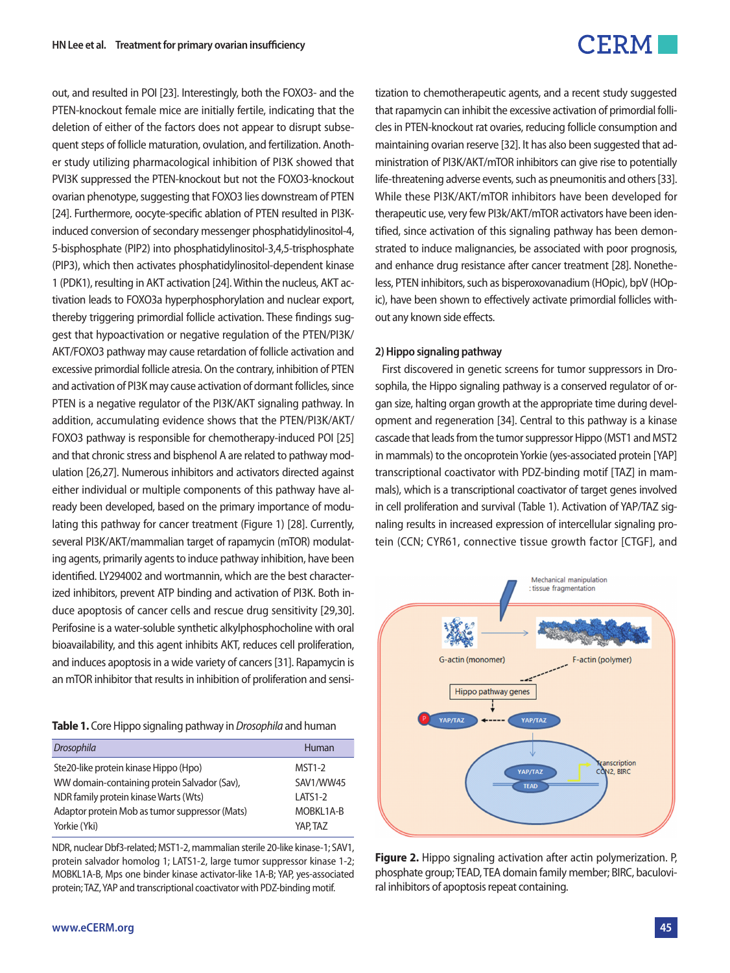out, and resulted in POI [23]. Interestingly, both the FOXO3- and the PTEN-knockout female mice are initially fertile, indicating that the deletion of either of the factors does not appear to disrupt subsequent steps of follicle maturation, ovulation, and fertilization. Another study utilizing pharmacological inhibition of PI3K showed that PVI3K suppressed the PTEN-knockout but not the FOXO3-knockout ovarian phenotype, suggesting that FOXO3 lies downstream of PTEN [24]. Furthermore, oocyte-specific ablation of PTEN resulted in PI3Kinduced conversion of secondary messenger phosphatidylinositol-4, 5-bisphosphate (PIP2) into phosphatidylinositol-3,4,5-trisphosphate (PIP3), which then activates phosphatidylinositol-dependent kinase 1 (PDK1), resulting in AKT activation [24]. Within the nucleus, AKT activation leads to FOXO3a hyperphosphorylation and nuclear export, thereby triggering primordial follicle activation. These findings suggest that hypoactivation or negative regulation of the PTEN/PI3K/ AKT/FOXO3 pathway may cause retardation of follicle activation and excessive primordial follicle atresia. On the contrary, inhibition of PTEN and activation of PI3K may cause activation of dormant follicles, since PTEN is a negative regulator of the PI3K/AKT signaling pathway. In addition, accumulating evidence shows that the PTEN/PI3K/AKT/ FOXO3 pathway is responsible for chemotherapy-induced POI [25] and that chronic stress and bisphenol A are related to pathway modulation [26,27]. Numerous inhibitors and activators directed against either individual or multiple components of this pathway have already been developed, based on the primary importance of modulating this pathway for cancer treatment (Figure 1) [28]. Currently, several PI3K/AKT/mammalian target of rapamycin (mTOR) modulating agents, primarily agents to induce pathway inhibition, have been identified. LY294002 and wortmannin, which are the best characterized inhibitors, prevent ATP binding and activation of PI3K. Both induce apoptosis of cancer cells and rescue drug sensitivity [29,30]. Perifosine is a water-soluble synthetic alkylphosphocholine with oral bioavailability, and this agent inhibits AKT, reduces cell proliferation, and induces apoptosis in a wide variety of cancers [31]. Rapamycin is an mTOR inhibitor that results in inhibition of proliferation and sensi-

**Table 1.** Core Hippo signaling pathway in *Drosophila* and human

| <b>Drosophila</b>                              | Human          |
|------------------------------------------------|----------------|
| Ste20-like protein kinase Hippo (Hpo)          | <b>MST1-2</b>  |
| WW domain-containing protein Salvador (Sav),   | SAV1/WW45      |
| NDR family protein kinase Warts (Wts)          | <b>LATS1-2</b> |
| Adaptor protein Mob as tumor suppressor (Mats) | MOBKL1A-B      |
| Yorkie (Yki)                                   | YAP, TAZ       |

NDR, nuclear Dbf3-related; MST1-2, mammalian sterile 20-like kinase-1; SAV1, protein salvador homolog 1; LATS1-2, large tumor suppressor kinase 1-2; MOBKL1A-B, Mps one binder kinase activator-like 1A-B; YAP, yes-associated protein; TAZ, YAP and transcriptional coactivator with PDZ-binding motif.

tization to chemotherapeutic agents, and a recent study suggested that rapamycin can inhibit the excessive activation of primordial follicles in PTEN-knockout rat ovaries, reducing follicle consumption and maintaining ovarian reserve [32]. It has also been suggested that administration of PI3K/AKT/mTOR inhibitors can give rise to potentially life-threatening adverse events, such as pneumonitis and others [33]. While these PI3K/AKT/mTOR inhibitors have been developed for therapeutic use, very few PI3k/AKT/mTOR activators have been identified, since activation of this signaling pathway has been demonstrated to induce malignancies, be associated with poor prognosis, and enhance drug resistance after cancer treatment [28]. Nonetheless, PTEN inhibitors, such as bisperoxovanadium (HOpic), bpV (HOpic), have been shown to effectively activate primordial follicles without any known side effects.

#### **2) Hippo signaling pathway**

First discovered in genetic screens for tumor suppressors in Drosophila, the Hippo signaling pathway is a conserved regulator of organ size, halting organ growth at the appropriate time during development and regeneration [34]. Central to this pathway is a kinase cascade that leads from the tumor suppressor Hippo (MST1 and MST2 in mammals) to the oncoprotein Yorkie (yes-associated protein [YAP] transcriptional coactivator with PDZ-binding motif [TAZ] in mammals), which is a transcriptional coactivator of target genes involved in cell proliferation and survival (Table 1). Activation of YAP/TAZ signaling results in increased expression of intercellular signaling protein (CCN; CYR61, connective tissue growth factor [CTGF], and



**Figure 2.** Hippo signaling activation after actin polymerization. P, phosphate group; TEAD, TEA domain family member; BIRC, baculoviral inhibitors of apoptosis repeat containing.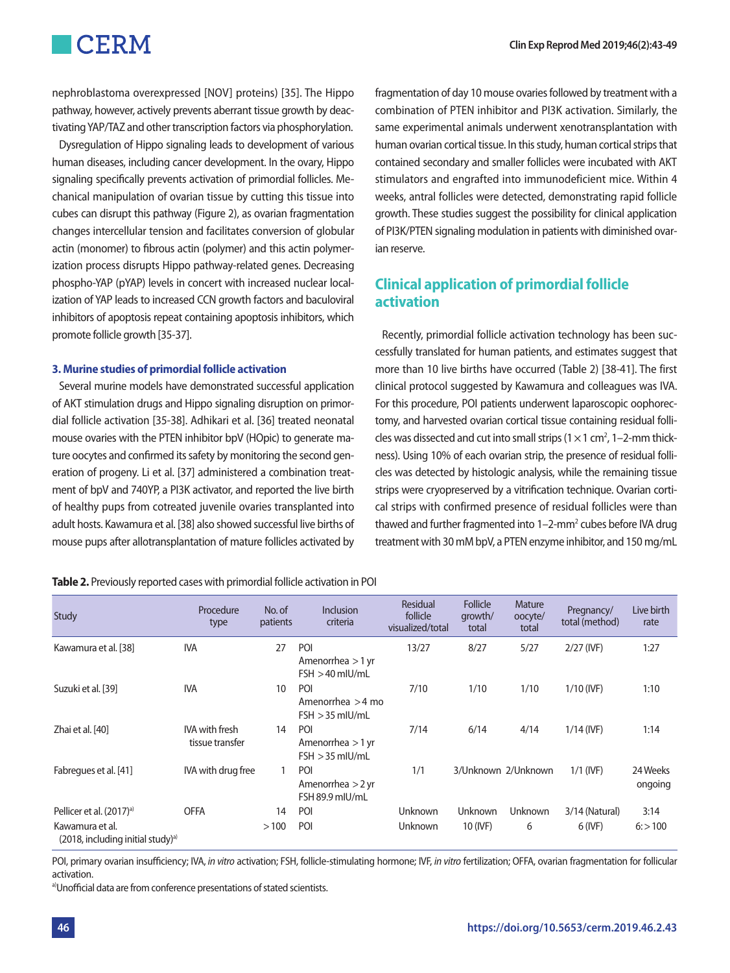nephroblastoma overexpressed [NOV] proteins) [35]. The Hippo pathway, however, actively prevents aberrant tissue growth by deactivating YAP/TAZ and other transcription factors via phosphorylation.

Dysregulation of Hippo signaling leads to development of various human diseases, including cancer development. In the ovary, Hippo signaling specifically prevents activation of primordial follicles. Mechanical manipulation of ovarian tissue by cutting this tissue into cubes can disrupt this pathway (Figure 2), as ovarian fragmentation changes intercellular tension and facilitates conversion of globular actin (monomer) to fibrous actin (polymer) and this actin polymerization process disrupts Hippo pathway-related genes. Decreasing phospho-YAP (pYAP) levels in concert with increased nuclear localization of YAP leads to increased CCN growth factors and baculoviral inhibitors of apoptosis repeat containing apoptosis inhibitors, which promote follicle growth [35-37].

### **3. Murine studies of primordial follicle activation**

Several murine models have demonstrated successful application of AKT stimulation drugs and Hippo signaling disruption on primordial follicle activation [35-38]. Adhikari et al. [36] treated neonatal mouse ovaries with the PTEN inhibitor bpV (HOpic) to generate mature oocytes and confirmed its safety by monitoring the second generation of progeny. Li et al. [37] administered a combination treatment of bpV and 740YP, a PI3K activator, and reported the live birth of healthy pups from cotreated juvenile ovaries transplanted into adult hosts. Kawamura et al. [38] also showed successful live births of mouse pups after allotransplantation of mature follicles activated by fragmentation of day 10 mouse ovaries followed by treatment with a combination of PTEN inhibitor and PI3K activation. Similarly, the same experimental animals underwent xenotransplantation with human ovarian cortical tissue. In this study, human cortical strips that contained secondary and smaller follicles were incubated with AKT stimulators and engrafted into immunodeficient mice. Within 4 weeks, antral follicles were detected, demonstrating rapid follicle growth. These studies suggest the possibility for clinical application of PI3K/PTEN signaling modulation in patients with diminished ovarian reserve.

### **Clinical application of primordial follicle activation**

Recently, primordial follicle activation technology has been successfully translated for human patients, and estimates suggest that more than 10 live births have occurred (Table 2) [38-41]. The first clinical protocol suggested by Kawamura and colleagues was IVA. For this procedure, POI patients underwent laparoscopic oophorectomy, and harvested ovarian cortical tissue containing residual follicles was dissected and cut into small strips ( $1 \times 1$  cm<sup>2</sup>,  $1-2$ -mm thickness). Using 10% of each ovarian strip, the presence of residual follicles was detected by histologic analysis, while the remaining tissue strips were cryopreserved by a vitrification technique. Ovarian cortical strips with confirmed presence of residual follicles were than thawed and further fragmented into  $1-2$ -mm<sup>2</sup> cubes before IVA drug treatment with 30 mM bpV, a PTEN enzyme inhibitor, and 150 mg/mL

**Table 2.** Previously reported cases with primordial follicle activation in POI

| <b>Study</b>                                                     | Procedure<br>type                        | No. of<br>patients | <b>Inclusion</b><br>criteria                    | Residual<br>follicle<br>visualized/total | <b>Follicle</b><br>growth/<br>total | Mature<br>oocyte/<br>total | Pregnancy/<br>total (method) | Live birth<br>rate  |
|------------------------------------------------------------------|------------------------------------------|--------------------|-------------------------------------------------|------------------------------------------|-------------------------------------|----------------------------|------------------------------|---------------------|
| Kawamura et al. [38]                                             | <b>IVA</b>                               | 27                 | POI<br>Amenorrhea $>1$ yr<br>$FSH > 40$ mlU/mL  | 13/27                                    | 8/27                                | 5/27                       | $2/27$ (IVF)                 | 1:27                |
| Suzuki et al. [39]                                               | <b>IVA</b>                               | 10                 | POI<br>Amenorrhea $>$ 4 mo<br>$FSH > 35$ mlU/mL | 7/10                                     | 1/10                                | 1/10                       | $1/10$ (IVF)                 | 1:10                |
| Zhai et al. [40]                                                 | <b>IVA</b> with fresh<br>tissue transfer | 14                 | POI<br>Amenorrhea $>1$ yr<br>$FSH > 35$ mlU/mL  | 7/14                                     | 6/14                                | 4/14                       | $1/14$ (IVF)                 | 1:14                |
| Fabregues et al. [41]                                            | IVA with drug free                       |                    | POI<br>Amenorrhea $>2$ yr<br>FSH 89.9 mIU/mL    | 1/1                                      |                                     | 3/Unknown 2/Unknown        | $1/1$ (IVF)                  | 24 Weeks<br>ongoing |
| Pellicer et al. (2017) <sup>a)</sup>                             | <b>OFFA</b>                              | 14                 | POI                                             | Unknown                                  | Unknown                             | <b>Unknown</b>             | 3/14 (Natural)               | 3:14                |
| Kawamura et al.<br>(2018, including initial study) <sup>a)</sup> |                                          | >100               | POI                                             | <b>Unknown</b>                           | 10 (IVF)                            | 6                          | $6$ (IVF)                    | 6: > 100            |

POI, primary ovarian insufficiency; IVA, *in vitro* activation; FSH, follicle-stimulating hormone; IVF, *in vitro* fertilization; OFFA, ovarian fragmentation for follicular activation.<br><sup>a)</sup>Unofficial data are from conference presentations of stated scientists.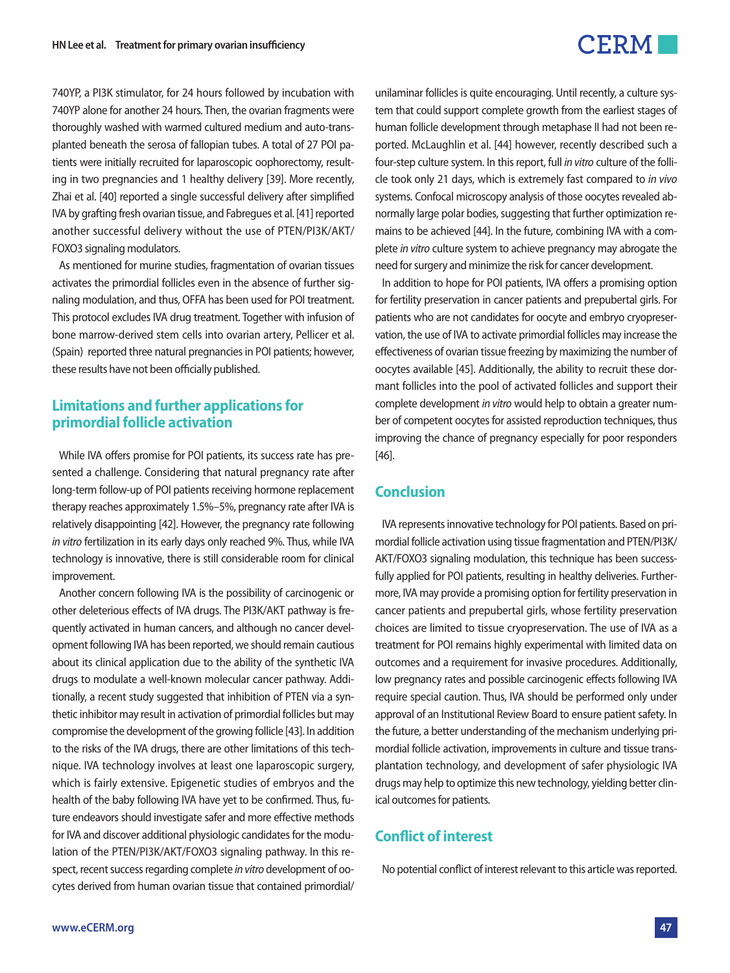740YP, a PI3K stimulator, for 24 hours followed by incubation with 740YP alone for another 24 hours. Then, the ovarian fragments were thoroughly washed with warmed cultured medium and auto-transplanted beneath the serosa of fallopian tubes. A total of 27 POI patients were initially recruited for laparoscopic oophorectomy, resulting in two pregnancies and 1 healthy delivery [39]. More recently, Zhai et al. [40] reported a single successful delivery after simplified IVA by grafting fresh ovarian tissue, and Fabregues et al. [41] reported another successful delivery without the use of PTEN/PI3K/AKT/ FOXO3 signaling modulators.

As mentioned for murine studies, fragmentation of ovarian tissues activates the primordial follicles even in the absence of further signaling modulation, and thus, OFFA has been used for POI treatment. This protocol excludes IVA drug treatment. Together with infusion of bone marrow-derived stem cells into ovarian artery, Pellicer et al. (Spain) reported three natural pregnancies in POI patients; however, these results have not been officially published.

### **Limitations and further applications for primordial follicle activation**

While IVA offers promise for POI patients, its success rate has presented a challenge. Considering that natural pregnancy rate after long-term follow-up of POI patients receiving hormone replacement therapy reaches approximately 1.5%–5%, pregnancy rate after IVA is relatively disappointing [42]. However, the pregnancy rate following *in vitro* fertilization in its early days only reached 9%. Thus, while IVA technology is innovative, there is still considerable room for clinical improvement.

Another concern following IVA is the possibility of carcinogenic or other deleterious effects of IVA drugs. The PI3K/AKT pathway is frequently activated in human cancers, and although no cancer development following IVA has been reported, we should remain cautious about its clinical application due to the ability of the synthetic IVA drugs to modulate a well-known molecular cancer pathway. Additionally, a recent study suggested that inhibition of PTEN via a synthetic inhibitor may result in activation of primordial follicles but may compromise the development of the growing follicle [43]. In addition to the risks of the IVA drugs, there are other limitations of this technique. IVA technology involves at least one laparoscopic surgery, which is fairly extensive. Epigenetic studies of embryos and the health of the baby following IVA have yet to be confirmed. Thus, future endeavors should investigate safer and more effective methods for IVA and discover additional physiologic candidates for the modulation of the PTEN/PI3K/AKT/FOXO3 signaling pathway. In this respect, recent success regarding complete *in vitro* development of oocytes derived from human ovarian tissue that contained primordial/

unilaminar follicles is quite encouraging. Until recently, a culture system that could support complete growth from the earliest stages of human follicle development through metaphase II had not been reported. McLaughlin et al. [44] however, recently described such a four-step culture system. In this report, full *in vitro* culture of the follicle took only 21 days, which is extremely fast compared to *in vivo* systems. Confocal microscopy analysis of those oocytes revealed abnormally large polar bodies, suggesting that further optimization remains to be achieved [44]. In the future, combining IVA with a complete *in vitro* culture system to achieve pregnancy may abrogate the need for surgery and minimize the risk for cancer development.

In addition to hope for POI patients, IVA offers a promising option for fertility preservation in cancer patients and prepubertal girls. For patients who are not candidates for oocyte and embryo cryopreservation, the use of IVA to activate primordial follicles may increase the effectiveness of ovarian tissue freezing by maximizing the number of oocytes available [45]. Additionally, the ability to recruit these dormant follicles into the pool of activated follicles and support their complete development *in vitro* would help to obtain a greater number of competent oocytes for assisted reproduction techniques, thus improving the chance of pregnancy especially for poor responders [46].

### **Conclusion**

IVA represents innovative technology for POI patients. Based on primordial follicle activation using tissue fragmentation and PTEN/PI3K/ AKT/FOXO3 signaling modulation, this technique has been successfully applied for POI patients, resulting in healthy deliveries. Furthermore, IVA may provide a promising option for fertility preservation in cancer patients and prepubertal girls, whose fertility preservation choices are limited to tissue cryopreservation. The use of IVA as a treatment for POI remains highly experimental with limited data on outcomes and a requirement for invasive procedures. Additionally, low pregnancy rates and possible carcinogenic effects following IVA require special caution. Thus, IVA should be performed only under approval of an Institutional Review Board to ensure patient safety. In the future, a better understanding of the mechanism underlying primordial follicle activation, improvements in culture and tissue transplantation technology, and development of safer physiologic IVA drugs may help to optimize this new technology, yielding better clinical outcomes for patients.

## **Conflict of interest**

No potential conflict of interest relevant to this article was reported.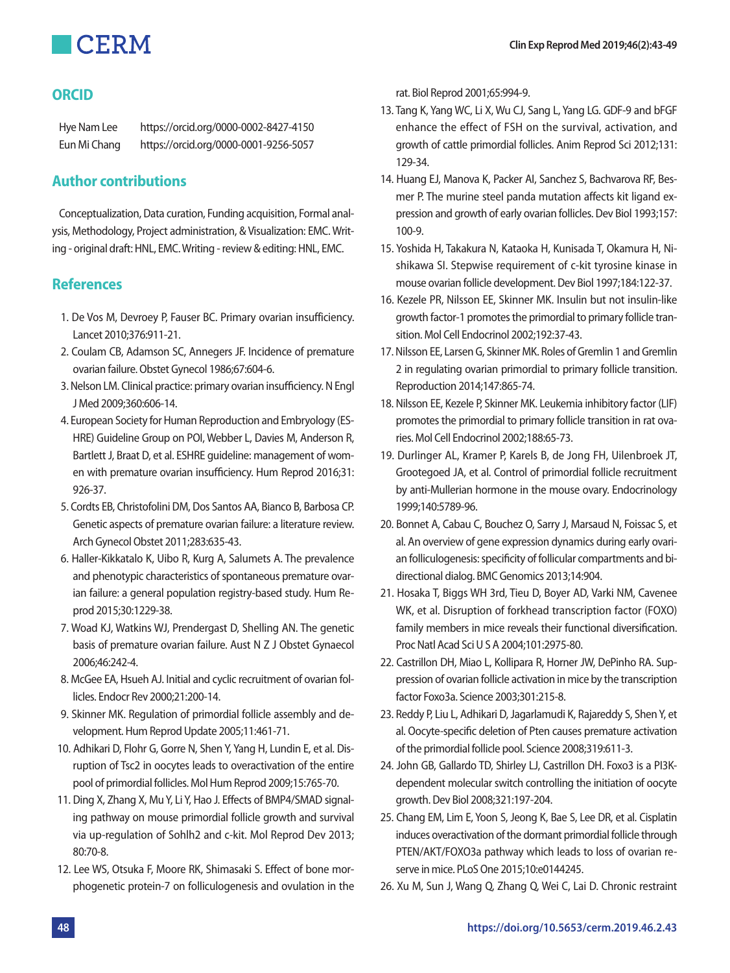

## **ORCID**

Hye Nam Lee https://orcid.org/0000-0002-8427-4150 Eun Mi Chang https://orcid.org/0000-0001-9256-5057

## **Author contributions**

Conceptualization, Data curation, Funding acquisition, Formal analysis, Methodology, Project administration, & Visualization: EMC. Writing - original draft: HNL, EMC. Writing - review & editing: HNL, EMC.

## **References**

- 1. De Vos M, Devroey P, Fauser BC. Primary ovarian insufficiency. Lancet 2010;376:911-21.
- 2. Coulam CB, Adamson SC, Annegers JF. Incidence of premature ovarian failure. Obstet Gynecol 1986;67:604-6.
- 3. Nelson LM. Clinical practice: primary ovarian insufficiency. N Engl J Med 2009;360:606-14.
- 4. European Society for Human Reproduction and Embryology (ES-HRE) Guideline Group on POI, Webber L, Davies M, Anderson R, Bartlett J, Braat D, et al. ESHRE guideline: management of women with premature ovarian insufficiency. Hum Reprod 2016;31: 926-37.
- 5. Cordts EB, Christofolini DM, Dos Santos AA, Bianco B, Barbosa CP. Genetic aspects of premature ovarian failure: a literature review. Arch Gynecol Obstet 2011;283:635-43.
- 6. Haller-Kikkatalo K, Uibo R, Kurg A, Salumets A. The prevalence and phenotypic characteristics of spontaneous premature ovarian failure: a general population registry-based study. Hum Reprod 2015;30:1229-38.
- 7. Woad KJ, Watkins WJ, Prendergast D, Shelling AN. The genetic basis of premature ovarian failure. Aust N Z J Obstet Gynaecol 2006;46:242-4.
- 8. McGee EA, Hsueh AJ. Initial and cyclic recruitment of ovarian follicles. Endocr Rev 2000;21:200-14.
- 9. Skinner MK. Regulation of primordial follicle assembly and development. Hum Reprod Update 2005;11:461-71.
- 10. Adhikari D, Flohr G, Gorre N, Shen Y, Yang H, Lundin E, et al. Disruption of Tsc2 in oocytes leads to overactivation of the entire pool of primordial follicles. Mol Hum Reprod 2009;15:765-70.
- 11. Ding X, Zhang X, Mu Y, Li Y, Hao J. Effects of BMP4/SMAD signaling pathway on mouse primordial follicle growth and survival via up-regulation of Sohlh2 and c-kit. Mol Reprod Dev 2013; 80:70-8.
- 12. Lee WS, Otsuka F, Moore RK, Shimasaki S. Effect of bone morphogenetic protein-7 on folliculogenesis and ovulation in the

rat. Biol Reprod 2001;65:994-9.

- 13. Tang K, Yang WC, Li X, Wu CJ, Sang L, Yang LG. GDF-9 and bFGF enhance the effect of FSH on the survival, activation, and growth of cattle primordial follicles. Anim Reprod Sci 2012;131: 129-34.
- 14. Huang EJ, Manova K, Packer AI, Sanchez S, Bachvarova RF, Besmer P. The murine steel panda mutation affects kit ligand expression and growth of early ovarian follicles. Dev Biol 1993;157: 100-9.
- 15. Yoshida H, Takakura N, Kataoka H, Kunisada T, Okamura H, Nishikawa SI. Stepwise requirement of c-kit tyrosine kinase in mouse ovarian follicle development. Dev Biol 1997;184:122-37.
- 16. Kezele PR, Nilsson EE, Skinner MK. Insulin but not insulin-like growth factor-1 promotes the primordial to primary follicle transition. Mol Cell Endocrinol 2002;192:37-43.
- 17. Nilsson EE, Larsen G, Skinner MK. Roles of Gremlin 1 and Gremlin 2 in regulating ovarian primordial to primary follicle transition. Reproduction 2014;147:865-74.
- 18. Nilsson EE, Kezele P, Skinner MK. Leukemia inhibitory factor (LIF) promotes the primordial to primary follicle transition in rat ovaries. Mol Cell Endocrinol 2002;188:65-73.
- 19. Durlinger AL, Kramer P, Karels B, de Jong FH, Uilenbroek JT, Grootegoed JA, et al. Control of primordial follicle recruitment by anti-Mullerian hormone in the mouse ovary. Endocrinology 1999;140:5789-96.
- 20. Bonnet A, Cabau C, Bouchez O, Sarry J, Marsaud N, Foissac S, et al. An overview of gene expression dynamics during early ovarian folliculogenesis: specificity of follicular compartments and bidirectional dialog. BMC Genomics 2013;14:904.
- 21. Hosaka T, Biggs WH 3rd, Tieu D, Boyer AD, Varki NM, Cavenee WK, et al. Disruption of forkhead transcription factor (FOXO) family members in mice reveals their functional diversification. Proc Natl Acad Sci U S A 2004;101:2975-80.
- 22. Castrillon DH, Miao L, Kollipara R, Horner JW, DePinho RA. Suppression of ovarian follicle activation in mice by the transcription factor Foxo3a. Science 2003;301:215-8.
- 23. Reddy P, Liu L, Adhikari D, Jagarlamudi K, Rajareddy S, Shen Y, et al. Oocyte-specific deletion of Pten causes premature activation of the primordial follicle pool. Science 2008;319:611-3.
- 24. John GB, Gallardo TD, Shirley LJ, Castrillon DH. Foxo3 is a PI3Kdependent molecular switch controlling the initiation of oocyte growth. Dev Biol 2008;321:197-204.
- 25. Chang EM, Lim E, Yoon S, Jeong K, Bae S, Lee DR, et al. Cisplatin induces overactivation of the dormant primordial follicle through PTEN/AKT/FOXO3a pathway which leads to loss of ovarian reserve in mice. PLoS One 2015;10:e0144245.
- 26. Xu M, Sun J, Wang Q, Zhang Q, Wei C, Lai D. Chronic restraint